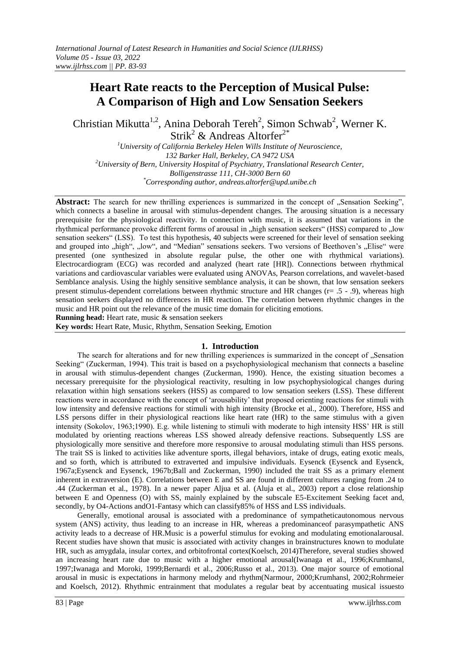# **Heart Rate reacts to the Perception of Musical Pulse: A Comparison of High and Low Sensation Seekers**

Christian Mikutta<sup>1,2</sup>, Anina Deborah Tereh<sup>2</sup>, Simon Schwab<sup>2</sup>, Werner K. Strik<sup>2</sup> & Andreas Altorfer<sup>2\*</sup>

*<sup>1</sup>University of California Berkeley Helen Wills Institute of Neuroscience, 132 Barker Hall, Berkeley, CA 9472 USA <sup>2</sup>University of Bern, University Hospital of Psychiatry, Translational Research Center, Bolligenstrasse 111, CH-3000 Bern 60 \*Corresponding author, andreas.altorfer@upd.unibe.ch*

Abstract: The search for new thrilling experiences is summarized in the concept of "Sensation Seeking", which connects a baseline in arousal with stimulus-dependent changes. The arousing situation is a necessary prerequisite for the physiological reactivity. In connection with music, it is assumed that variations in the rhythmical performance provoke different forms of arousal in "high sensation seekers" (HSS) compared to "low sensation seekers" (LSS). To test this hypothesis, 40 subjects were screened for their level of sensation seeking and grouped into "high", "low", and "Median" sensations seekers. Two versions of Beethoven's "Elise" were presented (one synthesized in absolute regular pulse, the other one with rhythmical variations). Electrocardiogram (ECG) was recorded and analyzed (heart rate [HR]). Connections between rhythmical variations and cardiovascular variables were evaluated using ANOVAs, Pearson correlations, and wavelet-based Semblance analysis. Using the highly sensitive semblance analysis, it can be shown, that low sensation seekers present stimulus-dependent correlations between rhythmic structure and HR changes (r= .5 - .9), whereas high sensation seekers displayed no differences in HR reaction. The correlation between rhythmic changes in the music and HR point out the relevance of the music time domain for eliciting emotions.

**Running head:** Heart rate, music & sensation seekers

**Key words:** Heart Rate, Music, Rhythm, Sensation Seeking, Emotion

## **1. Introduction**

The search for alterations and for new thrilling experiences is summarized in the concept of "Sensation Seeking" (Zuckerman, 1994). This trait is based on a psychophysiological mechanism that connects a baseline in arousal with stimulus-dependent changes (Zuckerman, 1990). Hence, the existing situation becomes a necessary prerequisite for the physiological reactivity, resulting in low psychophysiological changes during relaxation within high sensations seekers (HSS) as compared to low sensation seekers (LSS). These different reactions were in accordance with the concept of "arousability" that proposed orienting reactions for stimuli with low intensity and defensive reactions for stimuli with high intensity (Brocke et al., 2000). Therefore, HSS and LSS persons differ in their physiological reactions like heart rate (HR) to the same stimulus with a given intensity (Sokolov, 1963;1990). E.g. while listening to stimuli with moderate to high intensity HSS" HR is still modulated by orienting reactions whereas LSS showed already defensive reactions. Subsequently LSS are physiologically more sensitive and therefore more responsive to arousal modulating stimuli than HSS persons. The trait SS is linked to activities like adventure sports, illegal behaviors, intake of drugs, eating exotic meals, and so forth, which is attributed to extraverted and impulsive individuals. Eysenck (Eysenck and Eysenck, 1967a;Eysenck and Eysenck, 1967b;Ball and Zuckerman, 1990) included the trait SS as a primary element inherent in extraversion (E). Correlations between E and SS are found in different cultures ranging from .24 to .44 (Zuckerman et al., 1978). In a newer paper Aljua et al. (Aluja et al., 2003) report a close relationship between E and Openness (O) with SS, mainly explained by the subscale E5-Excitement Seeking facet and, secondly, by O4-Actions andO1-Fantasy which can classify85% of HSS and LSS individuals.

Generally, emotional arousal is associated with a predominance of sympatheticautonomous nervous system (ANS) activity, thus leading to an increase in HR, whereas a predominanceof parasympathetic ANS activity leads to a decrease of HR.Music is a powerful stimulus for evoking and modulating emotionalarousal. Recent studies have shown that music is associated with activity changes in brainstructures known to modulate HR, such as amygdala, insular cortex, and orbitofrontal cortex(Koelsch, 2014)Therefore, several studies showed an increasing heart rate due to music with a higher emotional arousal(Iwanaga et al., 1996;Krumhansl, 1997;Iwanaga and Moroki, 1999;Bernardi et al., 2006;Russo et al., 2013). One major source of emotional arousal in music is expectations in harmony melody and rhythm(Narmour, 2000;Krumhansl, 2002;Rohrmeier and Koelsch, 2012). Rhythmic entrainment that modulates a regular beat by accentuating musical issuesto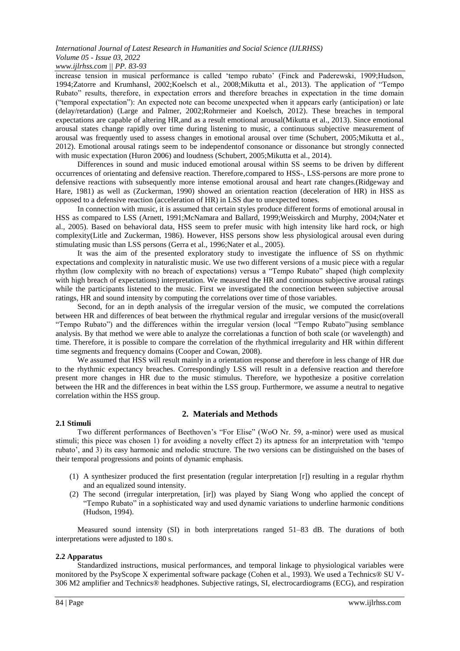# *International Journal of Latest Research in Humanities and Social Science (IJLRHSS) Volume 05 - Issue 03, 2022*

# *www.ijlrhss.com || PP. 83-93*

increase tension in musical performance is called "tempo rubato" (Finck and Paderewski, 1909;Hudson, 1994;Zatorre and Krumhansl, 2002;Koelsch et al., 2008;Mikutta et al., 2013). The application of "Tempo Rubato" results, therefore, in expectation errors and therefore breaches in expectation in the time domain ("temporal expectation"): An expected note can become unexpected when it appears early (anticipation) or late (delay/retardation) (Large and Palmer, 2002;Rohrmeier and Koelsch, 2012). These breaches in temporal expectations are capable of altering HR,and as a result emotional arousal(Mikutta et al., 2013). Since emotional arousal states change rapidly over time during listening to music, a continuous subjective measurement of arousal was frequently used to assess changes in emotional arousal over time (Schubert, 2005;Mikutta et al., 2012). Emotional arousal ratings seem to be independentof consonance or dissonance but strongly connected with music expectation (Huron 2006) and loudness (Schubert, 2005;Mikutta et al., 2014).

Differences in sound and music induced emotional arousal within SS seems to be driven by different occurrences of orientating and defensive reaction. Therefore,compared to HSS-, LSS-persons are more prone to defensive reactions with subsequently more intense emotional arousal and heart rate changes.(Ridgeway and Hare, 1981) as well as (Zuckerman, 1990) showed an orientation reaction (deceleration of HR) in HSS as opposed to a defensive reaction (acceleration of HR) in LSS due to unexpected tones.

In connection with music, it is assumed that certain styles produce different forms of emotional arousal in HSS as compared to LSS (Arnett, 1991;McNamara and Ballard, 1999;Weisskirch and Murphy, 2004;Nater et al., 2005). Based on behavioral data, HSS seem to prefer music with high intensity like hard rock, or high complexity(Litle and Zuckerman, 1986). However, HSS persons show less physiological arousal even during stimulating music than LSS persons (Gerra et al., 1996;Nater et al., 2005).

It was the aim of the presented exploratory study to investigate the influence of SS on rhythmic expectations and complexity in naturalistic music. We use two different versions of a music piece with a regular rhythm (low complexity with no breach of expectations) versus a "Tempo Rubato" shaped (high complexity with high breach of expectations) interpretation. We measured the HR and continuous subjective arousal ratings while the participants listened to the music. First we investigated the connection between subjective arousal ratings, HR and sound intensity by computing the correlations over time of those variables.

Second, for an in depth analysis of the irregular version of the music, we computed the correlations between HR and differences of beat between the rhythmical regular and irregular versions of the music(overall "Tempo Rubato") and the differences within the irregular version (local "Tempo Rubato")using semblance analysis. By that method we were able to analyze the correlationas a function of both scale (or wavelength) and time. Therefore, it is possible to compare the correlation of the rhythmical irregularity and HR within different time segments and frequency domains (Cooper and Cowan, 2008).

We assumed that HSS will result mainly in a orientation response and therefore in less change of HR due to the rhythmic expectancy breaches. Correspondingly LSS will result in a defensive reaction and therefore present more changes in HR due to the music stimulus. Therefore, we hypothesize a positive correlation between the HR and the differences in beat within the LSS group. Furthermore, we assume a neutral to negative correlation within the HSS group.

## **2.1 Stimuli**

## **2. Materials and Methods**

Two different performances of Beethoven"s "For Elise" (WoO Nr. 59, a-minor) were used as musical stimuli; this piece was chosen 1) for avoiding a novelty effect 2) its aptness for an interpretation with "tempo rubato", and 3) its easy harmonic and melodic structure. The two versions can be distinguished on the bases of their temporal progressions and points of dynamic emphasis.

- (1) A synthesizer produced the first presentation (regular interpretation [r]) resulting in a regular rhythm and an equalized sound intensity.
- (2) The second (irregular interpretation, [ir]) was played by Siang Wong who applied the concept of "Tempo Rubato" in a sophisticated way and used dynamic variations to underline harmonic conditions (Hudson, 1994).

Measured sound intensity (SI) in both interpretations ranged 51–83 dB. The durations of both interpretations were adjusted to 180 s.

## **2.2 Apparatus**

Standardized instructions, musical performances, and temporal linkage to physiological variables were monitored by the PsyScope X experimental software package (Cohen et al., 1993). We used a Technics® SU V-306 M2 amplifier and Technics® headphones. Subjective ratings, SI, electrocardiograms (ECG), and respiration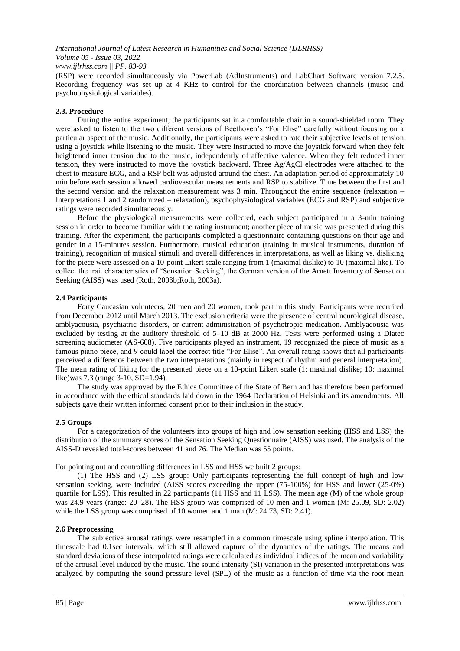(RSP) were recorded simultaneously via PowerLab (AdInstruments) and LabChart Software version 7.2.5. Recording frequency was set up at 4 KHz to control for the coordination between channels (music and psychophysiological variables).

## **2.3. Procedure**

During the entire experiment, the participants sat in a comfortable chair in a sound-shielded room. They were asked to listen to the two different versions of Beethoven's "For Elise" carefully without focusing on a particular aspect of the music. Additionally, the participants were asked to rate their subjective levels of tension using a joystick while listening to the music. They were instructed to move the joystick forward when they felt heightened inner tension due to the music, independently of affective valence. When they felt reduced inner tension, they were instructed to move the joystick backward. Three Ag/AgCl electrodes were attached to the chest to measure ECG, and a RSP belt was adjusted around the chest. An adaptation period of approximately 10 min before each session allowed cardiovascular measurements and RSP to stabilize. Time between the first and the second version and the relaxation measurement was 3 min. Throughout the entire sequence (relaxation – Interpretations 1 and 2 randomized – relaxation), psychophysiological variables (ECG and RSP) and subjective ratings were recorded simultaneously.

Before the physiological measurements were collected, each subject participated in a 3-min training session in order to become familiar with the rating instrument; another piece of music was presented during this training. After the experiment, the participants completed a questionnaire containing questions on their age and gender in a 15-minutes session. Furthermore, musical education (training in musical instruments, duration of training), recognition of musical stimuli and overall differences in interpretations, as well as liking vs. disliking for the piece were assessed on a 10-point Likert scale ranging from 1 (maximal dislike) to 10 (maximal like). To collect the trait characteristics of "Sensation Seeking", the German version of the Arnett Inventory of Sensation Seeking (AISS) was used (Roth, 2003b;Roth, 2003a).

## **2.4 Participants**

Forty Caucasian volunteers, 20 men and 20 women, took part in this study. Participants were recruited from December 2012 until March 2013. The exclusion criteria were the presence of central neurological disease, amblyacousia, psychiatric disorders, or current administration of psychotropic medication. Amblyacousia was excluded by testing at the auditory threshold of 5–10 dB at 2000 Hz. Tests were performed using a Diatec screening audiometer (AS-608). Five participants played an instrument, 19 recognized the piece of music as a famous piano piece, and 9 could label the correct title "For Elise". An overall rating shows that all participants perceived a difference between the two interpretations (mainly in respect of rhythm and general interpretation). The mean rating of liking for the presented piece on a 10-point Likert scale (1: maximal dislike; 10: maximal like)was 7.3 (range 3-10, SD=1.94).

The study was approved by the Ethics Committee of the State of Bern and has therefore been performed in accordance with the ethical standards laid down in the 1964 Declaration of Helsinki and its amendments. All subjects gave their written informed consent prior to their inclusion in the study.

## **2.5 Groups**

For a categorization of the volunteers into groups of high and low sensation seeking (HSS and LSS) the distribution of the summary scores of the Sensation Seeking Questionnaire (AISS) was used. The analysis of the AISS-D revealed total-scores between 41 and 76. The Median was 55 points.

For pointing out and controlling differences in LSS and HSS we built 2 groups:

(1) The HSS and (2) LSS group: Only participants representing the full concept of high and low sensation seeking, were included (AISS scores exceeding the upper (75-100%) for HSS and lower (25-0%) quartile for LSS). This resulted in 22 participants (11 HSS and 11 LSS). The mean age (M) of the whole group was 24.9 years (range: 20–28). The HSS group was comprised of 10 men and 1 woman (M: 25.09, SD: 2.02) while the LSS group was comprised of 10 women and 1 man (M: 24.73, SD: 2.41).

## **2.6 Preprocessing**

The subjective arousal ratings were resampled in a common timescale using spline interpolation. This timescale had 0.1sec intervals, which still allowed capture of the dynamics of the ratings. The means and standard deviations of these interpolated ratings were calculated as individual indices of the mean and variability of the arousal level induced by the music. The sound intensity (SI) variation in the presented interpretations was analyzed by computing the sound pressure level (SPL) of the music as a function of time via the root mean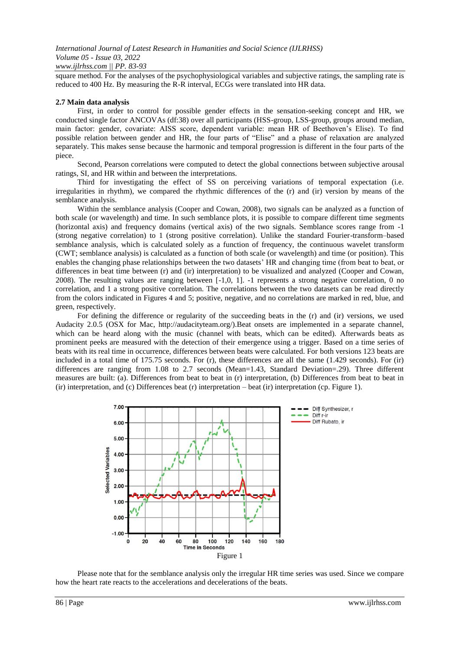square method. For the analyses of the psychophysiological variables and subjective ratings, the sampling rate is reduced to 400 Hz. By measuring the R-R interval, ECGs were translated into HR data.

## **2.7 Main data analysis**

First, in order to control for possible gender effects in the sensation-seeking concept and HR, we conducted single factor ANCOVAs (df:38) over all participants (HSS-group, LSS-group, groups around median, main factor: gender, covariate: AISS score, dependent variable: mean HR of Beethoven"s Elise). To find possible relation between gender and HR, the four parts of "Elise" and a phase of relaxation are analyzed separately. This makes sense because the harmonic and temporal progression is different in the four parts of the piece.

Second, Pearson correlations were computed to detect the global connections between subjective arousal ratings, SI, and HR within and between the interpretations.

Third for investigating the effect of SS on perceiving variations of temporal expectation (i.e. irregularities in rhythm), we compared the rhythmic differences of the (r) and (ir) version by means of the semblance analysis.

Within the semblance analysis (Cooper and Cowan, 2008), two signals can be analyzed as a function of both scale (or wavelength) and time. In such semblance plots, it is possible to compare different time segments (horizontal axis) and frequency domains (vertical axis) of the two signals. Semblance scores range from -1 (strong negative correlation) to 1 (strong positive correlation). Unlike the standard Fourier-transform–based semblance analysis, which is calculated solely as a function of frequency, the continuous wavelet transform (CWT; semblance analysis) is calculated as a function of both scale (or wavelength) and time (or position). This enables the changing phase relationships between the two datasets" HR and changing time (from beat to beat, or differences in beat time between (r) and (ir) interpretation) to be visualized and analyzed (Cooper and Cowan, 2008). The resulting values are ranging between [-1,0, 1]. -1 represents a strong negative correlation, 0 no correlation, and 1 a strong positive correlation. The correlations between the two datasets can be read directly from the colors indicated in Figures 4 and 5; positive, negative, and no correlations are marked in red, blue, and green, respectively.

For defining the difference or regularity of the succeeding beats in the (r) and (ir) versions, we used Audacity 2.0.5 (OSX for Mac, http://audacityteam.org/).Beat onsets are implemented in a separate channel, which can be heard along with the music (channel with beats, which can be edited). Afterwards beats as prominent peeks are measured with the detection of their emergence using a trigger. Based on a time series of beats with its real time in occurrence, differences between beats were calculated. For both versions 123 beats are included in a total time of 175.75 seconds. For (r), these differences are all the same (1.429 seconds). For (ir) differences are ranging from 1.08 to 2.7 seconds (Mean=1.43, Standard Deviation=.29). Three different measures are built: (a). Differences from beat to beat in (r) interpretation, (b) Differences from beat to beat in (ir) interpretation, and (c) Differences beat (r) interpretation – beat (ir) interpretation (cp. Figure 1).



Please note that for the semblance analysis only the irregular HR time series was used. Since we compare how the heart rate reacts to the accelerations and decelerations of the beats.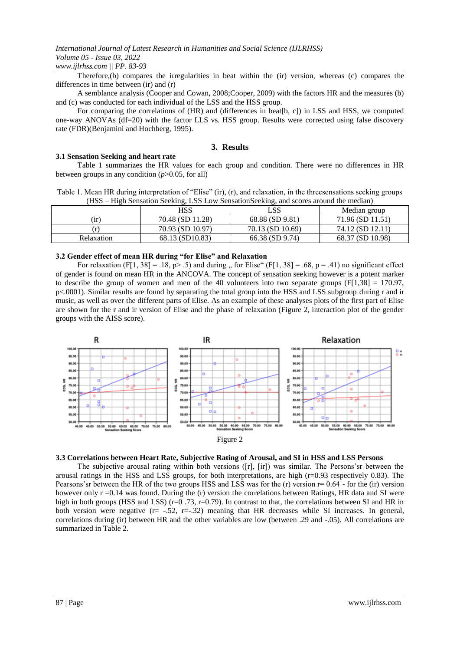#### *www.ijlrhss.com || PP. 83-93*

Therefore,(b) compares the irregularities in beat within the (ir) version, whereas (c) compares the differences in time between (ir) and (r)

A semblance analysis (Cooper and Cowan, 2008;Cooper, 2009) with the factors HR and the measures (b) and (c) was conducted for each individual of the LSS and the HSS group.

For comparing the correlations of (HR) and (differences in beat[b, c]) in LSS and HSS, we computed one-way ANOVAs (df=20) with the factor LLS vs. HSS group. Results were corrected using false discovery rate (FDR)(Benjamini and Hochberg, 1995).

#### **3. Results**

#### **3.1 Sensation Seeking and heart rate**

Table 1 summarizes the HR values for each group and condition. There were no differences in HR between groups in any condition  $(p>0.05$ , for all)

| Table 1. Mean HR during interpretation of "Elise" (ir), (r), and relaxation, in the threesensations seeking groups |  |
|--------------------------------------------------------------------------------------------------------------------|--|
| (HSS – High Sensation Seeking, LSS Low Sensation Seeking, and scores around the median)                            |  |

|              | HSS              | LSS                  | Median group     |  |  |
|--------------|------------------|----------------------|------------------|--|--|
| $\mathbf{r}$ | 70.48 (SD 11.28) | $68.88$ (SD $9.81$ ) | 71.96 (SD 11.51) |  |  |
| r            | 70.93 (SD 10.97) | 70.13 (SD 10.69)     | 74.12 (SD 12.11) |  |  |
| Relaxation   | 68.13 (SD10.83)  | 66.38 (SD 9.74)      | 68.37 (SD 10.98) |  |  |

#### **3.2 Gender effect of mean HR during "for Elise" and Relaxation**

For relaxation (F[1, 38] = .18, p> .5) and during " for Elise" (F[1, 38] = .68, p = .41) no significant effect of gender is found on mean HR in the ANCOVA. The concept of sensation seeking however is a potent marker to describe the group of women and men of the 40 volunteers into two separate groups  $(F[1,38] = 170.97$ , p<.0001). Similar results are found by separating the total group into the HSS and LSS subgroup during r and ir music, as well as over the different parts of Elise. As an example of these analyses plots of the first part of Elise are shown for the r and ir version of Elise and the phase of relaxation (Figure 2, interaction plot of the gender groups with the AISS score).



#### **3.3 Correlations between Heart Rate, Subjective Rating of Arousal, and SI in HSS and LSS Persons**

The subjective arousal rating within both versions ([r], [ir]) was similar. The Persons"sr between the arousal ratings in the HSS and LSS groups, for both interpretations, are high (r=0.93 respectively 0.83). The Pearsons's between the HR of the two groups HSS and LSS was for the  $(r)$  version  $r=0.64$  - for the  $(ir)$  version however only r =0.14 was found. During the (r) version the correlations between Ratings, HR data and SI were high in both groups (HSS and LSS) (r=0.73, r=0.79). In contrast to that, the correlations between SI and HR in both version were negative  $(r=-.52, r=.32)$  meaning that HR decreases while SI increases. In general, correlations during (ir) between HR and the other variables are low (between .29 and -.05). All correlations are summarized in Table 2.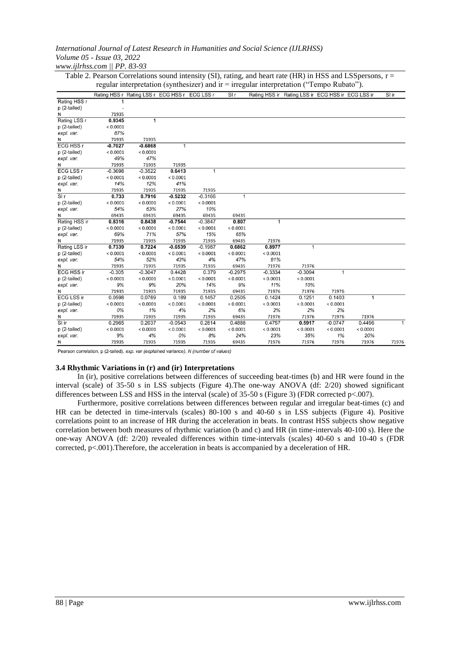| Table 2. I calson Correlations sound intensity (51), fatting, and healt fate (FIN) in H55 and E55 persons, 1 –<br>regular interpretation (synthesizer) and ir = irregular interpretation ("Tempo Rubato"). |           |                                               |           |           |              |           |                                                   |           |                |       |
|------------------------------------------------------------------------------------------------------------------------------------------------------------------------------------------------------------|-----------|-----------------------------------------------|-----------|-----------|--------------|-----------|---------------------------------------------------|-----------|----------------|-------|
|                                                                                                                                                                                                            |           | Rating HSS r Rating LSS r ECG HSS r ECG LSS r |           |           | S1r          |           | Rating HSS ir Rating LSS ir ECG HSS ir ECG LSS ir |           |                | SI ir |
| Rating HSS r                                                                                                                                                                                               |           |                                               |           |           |              |           |                                                   |           |                |       |
| p (2-tailed)                                                                                                                                                                                               |           |                                               |           |           |              |           |                                                   |           |                |       |
| N                                                                                                                                                                                                          | 71935     |                                               |           |           |              |           |                                                   |           |                |       |
| Rating LSS r                                                                                                                                                                                               | 0.9345    | 1                                             |           |           |              |           |                                                   |           |                |       |
| p (2-tailed)                                                                                                                                                                                               | < 0.0001  |                                               |           |           |              |           |                                                   |           |                |       |
| expl. var.                                                                                                                                                                                                 | 87%       |                                               |           |           |              |           |                                                   |           |                |       |
| Ν                                                                                                                                                                                                          | 71935     | 71935                                         |           |           |              |           |                                                   |           |                |       |
| <b>ECG HSS r</b>                                                                                                                                                                                           | $-0.7027$ | $-0.6868$                                     | 1         |           |              |           |                                                   |           |                |       |
| p (2-tailed)                                                                                                                                                                                               | < 0.0001  | < 0.0001                                      |           |           |              |           |                                                   |           |                |       |
| expl. var.                                                                                                                                                                                                 | 49%       | 47%                                           |           |           |              |           |                                                   |           |                |       |
| Ν                                                                                                                                                                                                          | 71935     | 71935                                         | 71935     |           |              |           |                                                   |           |                |       |
| <b>ECG LSS r</b>                                                                                                                                                                                           | $-0.3698$ | $-0.3522$                                     | 0.6413    | 1         |              |           |                                                   |           |                |       |
| p (2-tailed)                                                                                                                                                                                               | < 0.0001  | < 0.0001                                      | < 0.0001  |           |              |           |                                                   |           |                |       |
| expl. var.                                                                                                                                                                                                 | 14%       | 12%                                           | 41%       |           |              |           |                                                   |           |                |       |
| Ν                                                                                                                                                                                                          | 71935     | 71935                                         | 71935     | 71935     |              |           |                                                   |           |                |       |
| $\overline{\text{Slr}}$                                                                                                                                                                                    | 0.733     | 0.7916                                        | $-0.5232$ | $-0.3166$ | $\mathbf{1}$ |           |                                                   |           |                |       |
| p (2-tailed)                                                                                                                                                                                               | < 0.0001  | < 0.0001                                      | < 0.0001  | < 0.0001  |              |           |                                                   |           |                |       |
| expl. var.                                                                                                                                                                                                 | 54%       | 63%                                           | 27%       | 10%       |              |           |                                                   |           |                |       |
| N                                                                                                                                                                                                          | 69435     | 69435                                         | 69435     | 69435     | 69435        |           |                                                   |           |                |       |
| Rating HSS ir                                                                                                                                                                                              | 0.8316    | 0.8438                                        | $-0.7544$ | $-0.3847$ | 0.807        | 1         |                                                   |           |                |       |
| p (2-tailed)                                                                                                                                                                                               | < 0.0001  | < 0.0001                                      | < 0.0001  | < 0.0001  | < 0.0001     |           |                                                   |           |                |       |
| expl. var.                                                                                                                                                                                                 | 69%       | 71%                                           | 57%       | 15%       | 65%          |           |                                                   |           |                |       |
| Ν                                                                                                                                                                                                          | 71935     | 71935                                         | 71935     | 71935     | 69435        | 71976     |                                                   |           |                |       |
| Rating LSS ir                                                                                                                                                                                              | 0.7339    | 0.7224                                        | $-0.6539$ | $-0.1987$ | 0.6862       | 0.8977    | $\mathbf{1}$                                      |           |                |       |
| p (2-tailed)                                                                                                                                                                                               | < 0.0001  | < 0.0001                                      | < 0.0001  | < 0.0001  | < 0.0001     | < 0.0001  |                                                   |           |                |       |
| expl. var.                                                                                                                                                                                                 | 54%       | 52%                                           | 43%       | 4%        | 47%          | 81%       |                                                   |           |                |       |
| N                                                                                                                                                                                                          | 71935     | 71935                                         | 71935     | 71935     | 69435        | 71976     | 71976                                             |           |                |       |
| <b>ECG HSS ir</b>                                                                                                                                                                                          | $-0.305$  | $-0.3047$                                     | 0.4428    | 0.379     | $-0.2975$    | $-0.3334$ | $-0.3094$                                         | 1         |                |       |
| p (2-tailed)                                                                                                                                                                                               | < 0.0001  | < 0.0001                                      | < 0.0001  | < 0.0001  | < 0.0001     | < 0.0001  | < 0.0001                                          |           |                |       |
| expl. var.                                                                                                                                                                                                 | 9%        | 9%                                            | 20%       | 14%       | 9%           | 11%       | 10%                                               |           |                |       |
| Ν                                                                                                                                                                                                          | 71935     | 71935                                         | 71935     | 71935     | 69435        | 71976     | 71976                                             | 71976     |                |       |
| <b>ECG LSS ir</b>                                                                                                                                                                                          | 0.0598    | 0.0789                                        | 0.189     | 0.1457    | 0.2505       | 0.1424    | 0.1251                                            | 0.1403    | $\overline{1}$ |       |
| p (2-tailed)                                                                                                                                                                                               | < 0.0001  | < 0.0001                                      | < 0.0001  | < 0.0001  | < 0.0001     | < 0.0001  | < 0.0001                                          | < 0.0001  |                |       |
| expl. var.                                                                                                                                                                                                 | 0%        | 1%                                            | 4%        | 2%        | 6%           | 2%        | 2%                                                | 2%        |                |       |
| N                                                                                                                                                                                                          | 71935     | 71935                                         | 71935     | 71935     | 69435        | 71976     | 71976                                             | 71976     | 71976          |       |
| SI ir                                                                                                                                                                                                      | 0.2965    | 0.2037                                        | $-0.0543$ | 0.2814    | 0.4888       | 0.4757    | 0.5917                                            | $-0.0747$ | 0.4496         |       |
| p (2-tailed)                                                                                                                                                                                               | < 0.0001  | < 0.0001                                      | < 0.0001  | < 0.0001  | < 0.0001     | < 0.0001  | < 0.0001                                          | < 0.0001  | < 0.0001       |       |
| expl. var.                                                                                                                                                                                                 | 9%        | 4%                                            | 0%        | 8%        | 24%          | 23%       | 35%                                               | 1%        | 20%            |       |
| N                                                                                                                                                                                                          | 71935     | 71935                                         | 71935     | 71935     | 69435        | 71976     | 71976                                             | 71976     | 71976          | 71976 |

Table 2. Pearson Correlations sound intensity (SI), rating, and heart rate (HR) in HSS and LSS persons,  $r =$ 

Pearson correlation, p (2-tailed), exp. var (explained variance), N (number of values)

#### **3.4 Rhythmic Variations in (r) and (ir) Interpretations**

In (ir), positive correlations between differences of succeeding beat-times (b) and HR were found in the interval (scale) of 35-50 s in LSS subjects (Figure 4).The one-way ANOVA (df: 2/20) showed significant differences between LSS and HSS in the interval (scale) of 35-50 s (Figure 3) (FDR corrected p<.007).

Furthermore, positive correlations between differences between regular and irregular beat-times (c) and HR can be detected in time-intervals (scales) 80-100 s and 40-60 s in LSS subjects (Figure 4). Positive correlations point to an increase of HR during the acceleration in beats. In contrast HSS subjects show negative correlation between both measures of rhythmic variation (b and c) and HR (in time-intervals 40-100 s). Here the one-way ANOVA (df: 2/20) revealed differences within time-intervals (scales) 40-60 s and 10-40 s (FDR corrected, p<.001).Therefore, the acceleration in beats is accompanied by a deceleration of HR.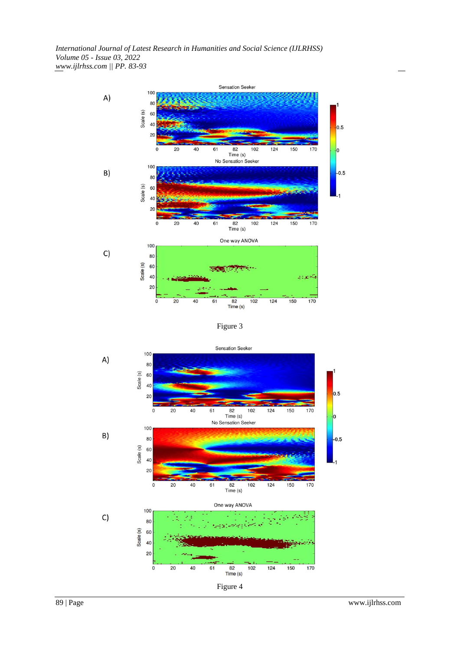

Figure 3



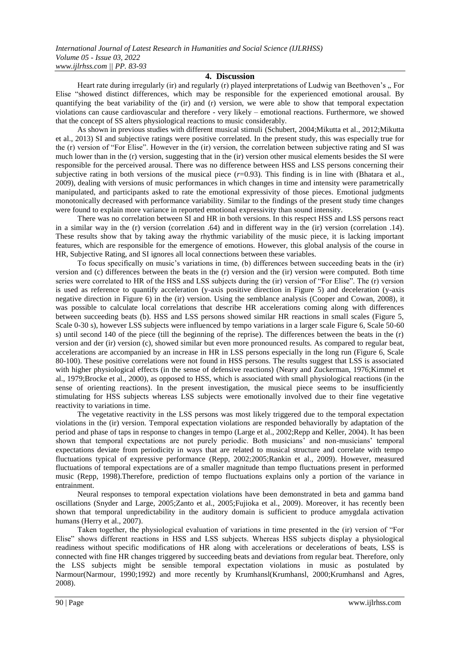#### **4. Discussion**

Heart rate during irregularly (ir) and regularly (r) played interpretations of Ludwig van Beethoven's " For Elise "showed distinct differences, which may be responsible for the experienced emotional arousal. By quantifying the beat variability of the (ir) and (r) version, we were able to show that temporal expectation violations can cause cardiovascular and therefore - very likely – emotional reactions. Furthermore, we showed that the concept of SS alters physiological reactions to music considerably.

As shown in previous studies with different musical stimuli (Schubert, 2004;Mikutta et al., 2012;Mikutta et al., 2013) SI and subjective ratings were positive correlated. In the present study, this was especially true for the (r) version of "For Elise". However in the (ir) version, the correlation between subjective rating and SI was much lower than in the (r) version, suggesting that in the (ir) version other musical elements besides the SI were responsible for the perceived arousal. There was no difference between HSS and LSS persons concerning their subjective rating in both versions of the musical piece ( $r=0.93$ ). This finding is in line with (Bhatara et al., 2009), dealing with versions of music performances in which changes in time and intensity were parametrically manipulated, and participants asked to rate the emotional expressivity of those pieces. Emotional judgments monotonically decreased with performance variability. Similar to the findings of the present study time changes were found to explain more variance in reported emotional expressivity than sound intensity.

There was no correlation between SI and HR in both versions. In this respect HSS and LSS persons react in a similar way in the (r) version (correlation .64) and in different way in the (ir) version (correlation .14). These results show that by taking away the rhythmic variability of the music piece, it is lacking important features, which are responsible for the emergence of emotions. However, this global analysis of the course in HR, Subjective Rating, and SI ignores all local connections between these variables.

To focus specifically on music's variations in time, (b) differences between succeeding beats in the (ir) version and (c) differences between the beats in the (r) version and the (ir) version were computed. Both time series were correlated to HR of the HSS and LSS subjects during the (ir) version of "For Elise". The (r) version is used as reference to quantify acceleration (y-axis positive direction in Figure 5) and deceleration (y-axis negative direction in Figure 6) in the (ir) version. Using the semblance analysis (Cooper and Cowan, 2008), it was possible to calculate local correlations that describe HR accelerations coming along with differences between succeeding beats (b). HSS and LSS persons showed similar HR reactions in small scales (Figure 5, Scale 0-30 s), however LSS subjects were influenced by tempo variations in a larger scale Figure 6, Scale 50-60 s) until second 140 of the piece (till the beginning of the reprise). The differences between the beats in the (r) version and der (ir) version (c), showed similar but even more pronounced results. As compared to regular beat, accelerations are accompanied by an increase in HR in LSS persons especially in the long run (Figure 6, Scale 80-100). These positive correlations were not found in HSS persons. The results suggest that LSS is associated with higher physiological effects (in the sense of defensive reactions) (Neary and Zuckerman, 1976;Kimmel et al., 1979;Brocke et al., 2000), as opposed to HSS, which is associated with small physiological reactions (in the sense of orienting reactions). In the present investigation, the musical piece seems to be insufficiently stimulating for HSS subjects whereas LSS subjects were emotionally involved due to their fine vegetative reactivity to variations in time.

The vegetative reactivity in the LSS persons was most likely triggered due to the temporal expectation violations in the (ir) version. Temporal expectation violations are responded behaviorally by adaptation of the period and phase of taps in response to changes in tempo (Large et al., 2002;Repp and Keller, 2004). It has been shown that temporal expectations are not purely periodic. Both musicians" and non-musicians" temporal expectations deviate from periodicity in ways that are related to musical structure and correlate with tempo fluctuations typical of expressive performance (Repp, 2002;2005;Rankin et al., 2009). However, measured fluctuations of temporal expectations are of a smaller magnitude than tempo fluctuations present in performed music (Repp, 1998).Therefore, prediction of tempo fluctuations explains only a portion of the variance in entrainment.

Neural responses to temporal expectation violations have been demonstrated in beta and gamma band oscillations (Snyder and Large, 2005;Zanto et al., 2005;Fujioka et al., 2009). Moreover, it has recently been shown that temporal unpredictability in the auditory domain is sufficient to produce amygdala activation humans (Herry et al., 2007).

Taken together, the physiological evaluation of variations in time presented in the (ir) version of "For Elise" shows different reactions in HSS and LSS subjects. Whereas HSS subjects display a physiological readiness without specific modifications of HR along with accelerations or decelerations of beats, LSS is connected with fine HR changes triggered by succeeding beats and deviations from regular beat. Therefore, only the LSS subjects might be sensible temporal expectation violations in music as postulated by Narmour(Narmour, 1990;1992) and more recently by Krumhansl(Krumhansl, 2000;Krumhansl and Agres, 2008).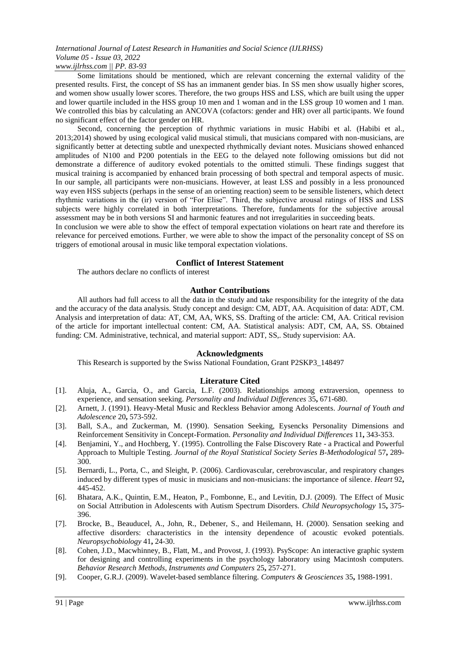Some limitations should be mentioned, which are relevant concerning the external validity of the presented results. First, the concept of SS has an immanent gender bias. In SS men show usually higher scores, and women show usually lower scores. Therefore, the two groups HSS and LSS, which are built using the upper and lower quartile included in the HSS group 10 men and 1 woman and in the LSS group 10 women and 1 man. We controlled this bias by calculating an ANCOVA (cofactors: gender and HR) over all participants. We found no significant effect of the factor gender on HR.

Second, concerning the perception of rhythmic variations in music Habibi et al. (Habibi et al., 2013;2014) showed by using ecological valid musical stimuli, that musicians compared with non-musicians, are significantly better at detecting subtle and unexpected rhythmically deviant notes. Musicians showed enhanced amplitudes of N100 and P200 potentials in the EEG to the delayed note following omissions but did not demonstrate a difference of auditory evoked potentials to the omitted stimuli. These findings suggest that musical training is accompanied by enhanced brain processing of both spectral and temporal aspects of music. In our sample, all participants were non-musicians. However, at least LSS and possibly in a less pronounced way even HSS subjects (perhaps in the sense of an orienting reaction) seem to be sensible listeners, which detect rhythmic variations in the (ir) version of "For Elise". Third, the subjective arousal ratings of HSS and LSS subjects were highly correlated in both interpretations. Therefore, fundaments for the subjective arousal assessment may be in both versions SI and harmonic features and not irregularities in succeeding beats.

In conclusion we were able to show the effect of temporal expectation violations on heart rate and therefore its relevance for perceived emotions. Further, we were able to show the impact of the personality concept of SS on triggers of emotional arousal in music like temporal expectation violations.

## **Conflict of Interest Statement**

The authors declare no conflicts of interest

## **Author Contributions**

All authors had full access to all the data in the study and take responsibility for the integrity of the data and the accuracy of the data analysis. Study concept and design: CM, ADT, AA. Acquisition of data: ADT, CM. Analysis and interpretation of data: AT, CM, AA, WKS, SS. Drafting of the article: CM, AA. Critical revision of the article for important intellectual content: CM, AA. Statistical analysis: ADT, CM, AA, SS. Obtained funding: CM. Administrative, technical, and material support: ADT, SS,. Study supervision: AA.

## **Acknowledgments**

This Research is supported by the Swiss National Foundation, Grant P2SKP3\_148497

## **Literature Cited**

- [1]. Aluja, A., Garcia, O., and Garcia, L.F. (2003). Relationships among extraversion, openness to experience, and sensation seeking. *Personality and Individual Differences* 35**,** 671-680.
- [2]. Arnett, J. (1991). Heavy-Metal Music and Reckless Behavior among Adolescents. *Journal of Youth and Adolescence* 20**,** 573-592.
- [3]. Ball, S.A., and Zuckerman, M. (1990). Sensation Seeking, Eysencks Personality Dimensions and Reinforcement Sensitivity in Concept-Formation. *Personality and Individual Differences* 11**,** 343-353.
- [4]. Benjamini, Y., and Hochberg, Y. (1995). Controlling the False Discovery Rate a Practical and Powerful Approach to Multiple Testing. *Journal of the Royal Statistical Society Series B-Methodological* 57**,** 289- 300.
- [5]. Bernardi, L., Porta, C., and Sleight, P. (2006). Cardiovascular, cerebrovascular, and respiratory changes induced by different types of music in musicians and non-musicians: the importance of silence. *Heart* 92**,** 445-452.
- [6]. Bhatara, A.K., Quintin, E.M., Heaton, P., Fombonne, E., and Levitin, D.J. (2009). The Effect of Music on Social Attribution in Adolescents with Autism Spectrum Disorders. *Child Neuropsychology* 15**,** 375- 396.
- [7]. Brocke, B., Beauducel, A., John, R., Debener, S., and Heilemann, H. (2000). Sensation seeking and affective disorders: characteristics in the intensity dependence of acoustic evoked potentials. *Neuropsychobiology* 41**,** 24-30.
- [8]. Cohen, J.D., Macwhinney, B., Flatt, M., and Provost, J. (1993). PsyScope: An interactive graphic system for designing and controlling experiments in the psychology laboratory using Macintosh computers. *Behavior Research Methods, Instruments and Computers* 25**,** 257-271.
- [9]. Cooper, G.R.J. (2009). Wavelet-based semblance filtering. *Computers & Geosciences* 35**,** 1988-1991.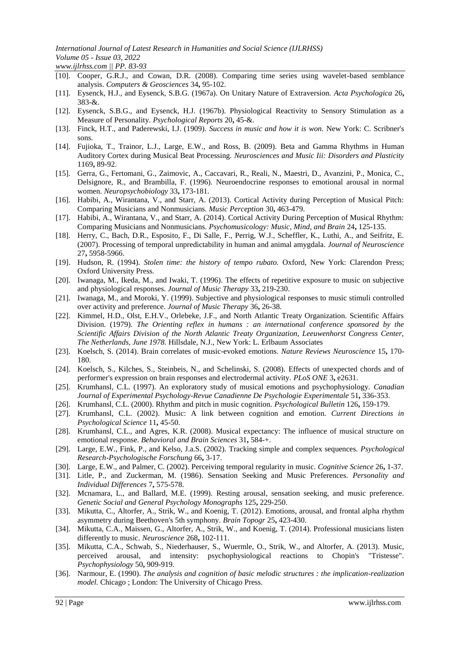- [10]. Cooper, G.R.J., and Cowan, D.R. (2008). Comparing time series using wavelet-based semblance analysis. *Computers & Geosciences* 34**,** 95-102.
- [11]. Eysenck, H.J., and Eysenck, S.B.G. (1967a). On Unitary Nature of Extraversion. *Acta Psychologica* 26**,** 383-&.
- [12]. Eysenck, S.B.G., and Eysenck, H.J. (1967b). Physiological Reactivity to Sensory Stimulation as a Measure of Personality. *Psychological Reports* 20**,** 45-&.
- [13]. Finck, H.T., and Paderewski, I.J. (1909). *Success in music and how it is won.* New York: C. Scribner's sons.
- [14]. Fujioka, T., Trainor, L.J., Large, E.W., and Ross, B. (2009). Beta and Gamma Rhythms in Human Auditory Cortex during Musical Beat Processing. *Neurosciences and Music Iii: Disorders and Plasticity* 1169**,** 89-92.
- [15]. Gerra, G., Fertomani, G., Zaimovic, A., Caccavari, R., Reali, N., Maestri, D., Avanzini, P., Monica, C., Delsignore, R., and Brambilla, F. (1996). Neuroendocrine responses to emotional arousal in normal women. *Neuropsychobiology* 33**,** 173-181.
- [16]. Habibi, A., Wirantana, V., and Starr, A. (2013). Cortical Activity during Perception of Musical Pitch: Comparing Musicians and Nonmusicians. *Music Perception* 30**,** 463-479.
- [17]. Habibi, A., Wirantana, V., and Starr, A. (2014). Cortical Activity During Perception of Musical Rhythm: Comparing Musicians and Nonmusicians. *Psychomusicology: Music, Mind, and Brain* 24**,** 125-135.
- [18]. Herry, C., Bach, D.R., Esposito, F., Di Salle, F., Perrig, W.J., Scheffler, K., Luthi, A., and Seifritz, E. (2007). Processing of temporal unpredictability in human and animal amygdala. *Journal of Neuroscience* 27**,** 5958-5966.
- [19]. Hudson, R. (1994). *Stolen time: the history of tempo rubato.* Oxford, New York: Clarendon Press; Oxford University Press.
- [20]. Iwanaga, M., Ikeda, M., and Iwaki, T. (1996). The effects of repetitive exposure to music on subjective and physiological responses. *Journal of Music Therapy* 33**,** 219-230.
- [21]. Iwanaga, M., and Moroki, Y. (1999). Subjective and physiological responses to music stimuli controlled over activity and preference. *Journal of Music Therapy* 36**,** 26-38.
- [22]. Kimmel, H.D., Olst, E.H.V., Orlebeke, J.F., and North Atlantic Treaty Organization. Scientific Affairs Division. (1979). *The Orienting reflex in humans : an international conference sponsored by the Scientific Affairs Division of the North Atlantic Treaty Organization, Leeuwenhorst Congress Center, The Netherlands, June 1978.* Hillsdale, N.J., New York: L. Erlbaum Associates
- [23]. Koelsch, S. (2014). Brain correlates of music-evoked emotions. *Nature Reviews Neuroscience* 15**,** 170- 180.
- [24]. Koelsch, S., Kilches, S., Steinbeis, N., and Schelinski, S. (2008). Effects of unexpected chords and of performer's expression on brain responses and electrodermal activity. *PLoS ONE* 3**,** e2631.
- [25]. Krumhansl, C.L. (1997). An exploratory study of musical emotions and psychophysiology. *Canadian Journal of Experimental Psychology-Revue Canadienne De Psychologie Experimentale* 51**,** 336-353.
- [26]. Krumhansl, C.L. (2000). Rhythm and pitch in music cognition. *Psychological Bulletin* 126**,** 159-179.
- [27]. Krumhansl, C.L. (2002). Music: A link between cognition and emotion. *Current Directions in Psychological Science* 11**,** 45-50.
- [28]. Krumhansl, C.L., and Agres, K.R. (2008). Musical expectancy: The influence of musical structure on emotional response. *Behavioral and Brain Sciences* 31**,** 584-+.
- [29]. Large, E.W., Fink, P., and Kelso, J.a.S. (2002). Tracking simple and complex sequences. *Psychological Research-Psychologische Forschung* 66**,** 3-17.
- [30]. Large, E.W., and Palmer, C. (2002). Perceiving temporal regularity in music. *Cognitive Science* 26**,** 1-37.
- [31]. Litle, P., and Zuckerman, M. (1986). Sensation Seeking and Music Preferences. *Personality and Individual Differences* 7**,** 575-578.
- [32]. Mcnamara, L., and Ballard, M.E. (1999). Resting arousal, sensation seeking, and music preference. *Genetic Social and General Psychology Monographs* 125**,** 229-250.
- [33]. Mikutta, C., Altorfer, A., Strik, W., and Koenig, T. (2012). Emotions, arousal, and frontal alpha rhythm asymmetry during Beethoven's 5th symphony. *Brain Topogr* 25**,** 423-430.
- [34]. Mikutta, C.A., Maissen, G., Altorfer, A., Strik, W., and Koenig, T. (2014). Professional musicians listen differently to music. *Neuroscience* 268**,** 102-111.
- [35]. Mikutta, C.A., Schwab, S., Niederhauser, S., Wuermle, O., Strik, W., and Altorfer, A. (2013). Music, perceived arousal, and intensity: psychophysiological reactions to Chopin's "Tristesse". *Psychophysiology* 50**,** 909-919.
- [36]. Narmour, E. (1990). *The analysis and cognition of basic melodic structures : the implication-realization model.* Chicago ; London: The University of Chicago Press.